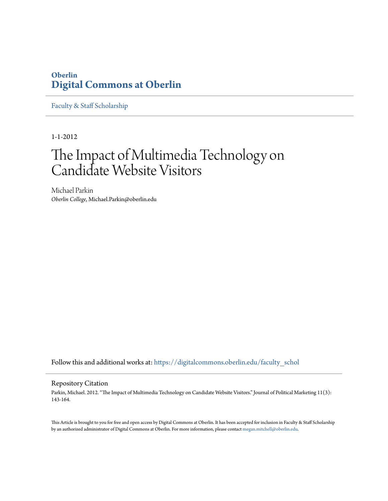## **Oberlin [Digital Commons at Oberlin](https://digitalcommons.oberlin.edu?utm_source=digitalcommons.oberlin.edu%2Ffaculty_schol%2F2878&utm_medium=PDF&utm_campaign=PDFCoverPages)**

[Faculty & Staff Scholarship](https://digitalcommons.oberlin.edu/faculty_schol?utm_source=digitalcommons.oberlin.edu%2Ffaculty_schol%2F2878&utm_medium=PDF&utm_campaign=PDFCoverPages)

1-1-2012

# The Impact of Multimedia Technology on Candidate Website Visitors

Michael Parkin *Oberlin College*, Michael.Parkin@oberlin.edu

Follow this and additional works at: [https://digitalcommons.oberlin.edu/faculty\\_schol](https://digitalcommons.oberlin.edu/faculty_schol?utm_source=digitalcommons.oberlin.edu%2Ffaculty_schol%2F2878&utm_medium=PDF&utm_campaign=PDFCoverPages)

#### Repository Citation

Parkin, Michael. 2012. "The Impact of Multimedia Technology on Candidate Website Visitors." Journal of Political Marketing 11(3): 143-164.

This Article is brought to you for free and open access by Digital Commons at Oberlin. It has been accepted for inclusion in Faculty & Staff Scholarship by an authorized administrator of Digital Commons at Oberlin. For more information, please contact [megan.mitchell@oberlin.edu.](mailto:megan.mitchell@oberlin.edu)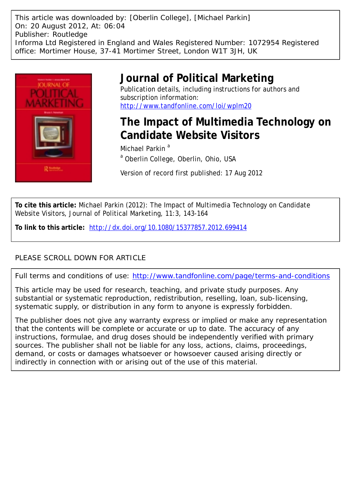This article was downloaded by: [Oberlin College], [Michael Parkin] On: 20 August 2012, At: 06:04 Publisher: Routledge Informa Ltd Registered in England and Wales Registered Number: 1072954 Registered office: Mortimer House, 37-41 Mortimer Street, London W1T 3JH, UK



## **Journal of Political Marketing**

Publication details, including instructions for authors and subscription information: <http://www.tandfonline.com/loi/wplm20>

## **The Impact of Multimedia Technology on Candidate Website Visitors**

Michael Parkin<sup>a</sup> <sup>a</sup> Oberlin College, Oberlin, Ohio, USA

Version of record first published: 17 Aug 2012

**To cite this article:** Michael Parkin (2012): The Impact of Multimedia Technology on Candidate Website Visitors, Journal of Political Marketing, 11:3, 143-164

**To link to this article:** <http://dx.doi.org/10.1080/15377857.2012.699414>

### PLEASE SCROLL DOWN FOR ARTICLE

Full terms and conditions of use:<http://www.tandfonline.com/page/terms-and-conditions>

This article may be used for research, teaching, and private study purposes. Any substantial or systematic reproduction, redistribution, reselling, loan, sub-licensing, systematic supply, or distribution in any form to anyone is expressly forbidden.

The publisher does not give any warranty express or implied or make any representation that the contents will be complete or accurate or up to date. The accuracy of any instructions, formulae, and drug doses should be independently verified with primary sources. The publisher shall not be liable for any loss, actions, claims, proceedings, demand, or costs or damages whatsoever or howsoever caused arising directly or indirectly in connection with or arising out of the use of this material.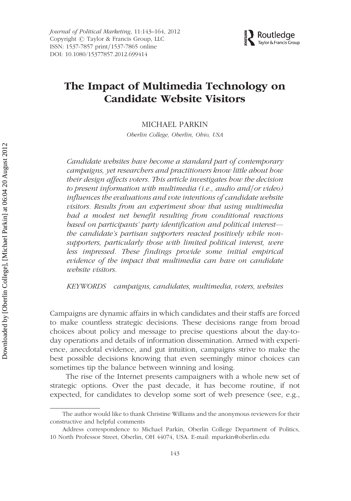

## The Impact of Multimedia Technology on Candidate Website Visitors

#### MICHAEL PARKIN

Oberlin College, Oberlin, Ohio, USA

Candidate websites have become a standard part of contemporary campaigns, yet researchers and practitioners know little about how their design affects voters. This article investigates how the decision to present information with multimedia (i.e., audio and/or video) influences the evaluations and vote intentions of candidate website visitors. Results from an experiment show that using multimedia had a modest net benefit resulting from conditional reactions based on participants' party identification and political interest the candidate's partisan supporters reacted positively while nonsupporters, particularly those with limited political interest, were less impressed. These findings provide some initial empirical evidence of the impact that multimedia can have on candidate website visitors.

KEYWORDS campaigns, candidates, multimedia, voters, websites

Campaigns are dynamic affairs in which candidates and their staffs are forced to make countless strategic decisions. These decisions range from broad choices about policy and message to precise questions about the day-today operations and details of information dissemination. Armed with experience, anecdotal evidence, and gut intuition, campaigns strive to make the best possible decisions knowing that even seemingly minor choices can sometimes tip the balance between winning and losing.

The rise of the Internet presents campaigners with a whole new set of strategic options. Over the past decade, it has become routine, if not expected, for candidates to develop some sort of web presence (see, e.g.,

The author would like to thank Christine Williams and the anonymous reviewers for their constructive and helpful comments

Address correspondence to Michael Parkin, Oberlin College Department of Politics, 10 North Professor Street, Oberlin, OH 44074, USA. E-mail: mparkin@oberlin.edu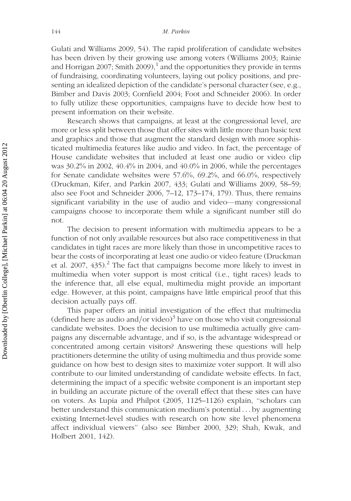Gulati and Williams 2009, 54). The rapid proliferation of candidate websites has been driven by their growing use among voters (Williams 2003; Rainie and Horrigan 2007; Smith 2009),<sup>1</sup> and the opportunities they provide in terms of fundraising, coordinating volunteers, laying out policy positions, and presenting an idealized depiction of the candidate's personal character (see, e.g., Bimber and Davis 2003; Cornfield 2004; Foot and Schneider 2006). In order to fully utilize these opportunities, campaigns have to decide how best to present information on their website.

Research shows that campaigns, at least at the congressional level, are more or less split between those that offer sites with little more than basic text and graphics and those that augment the standard design with more sophisticated multimedia features like audio and video. In fact, the percentage of House candidate websites that included at least one audio or video clip was 30.2% in 2002, 40.4% in 2004, and 40.0% in 2006, while the percentages for Senate candidate websites were 57.6%, 69.2%, and 66.0%, respectively (Druckman, Kifer, and Parkin 2007, 433; Gulati and Williams 2009, 58–59; also see Foot and Schneider 2006, 7–12, 173–174, 179). Thus, there remains significant variability in the use of audio and video—many congressional campaigns choose to incorporate them while a significant number still do not.

The decision to present information with multimedia appears to be a function of not only available resources but also race competitiveness in that candidates in tight races are more likely than those in uncompetitive races to bear the costs of incorporating at least one audio or video feature (Druckman et al. 2007,  $435$ ).<sup>2</sup> The fact that campaigns become more likely to invest in multimedia when voter support is most critical (i.e., tight races) leads to the inference that, all else equal, multimedia might provide an important edge. However, at this point, campaigns have little empirical proof that this decision actually pays off.

This paper offers an initial investigation of the effect that multimedia (defined here as audio and/or video)<sup>3</sup> have on those who visit congressional candidate websites. Does the decision to use multimedia actually give campaigns any discernable advantage, and if so, is the advantage widespread or concentrated among certain visitors? Answering these questions will help practitioners determine the utility of using multimedia and thus provide some guidance on how best to design sites to maximize voter support. It will also contribute to our limited understanding of candidate website effects. In fact, determining the impact of a specific website component is an important step in building an accurate picture of the overall effect that these sites can have on voters. As Lupia and Philpot (2005, 1125–1126) explain, ''scholars can better understand this communication medium's potential ... by augmenting existing Internet-level studies with research on how site level phenomena affect individual viewers'' (also see Bimber 2000, 329; Shah, Kwak, and Holbert 2001, 142).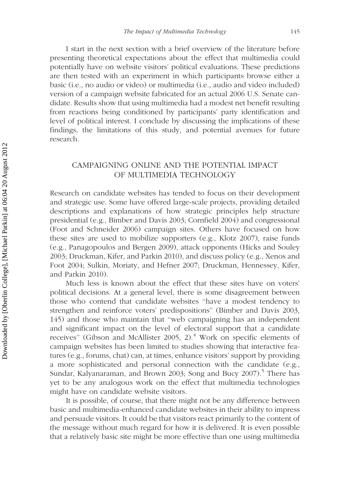I start in the next section with a brief overview of the literature before presenting theoretical expectations about the effect that multimedia could potentially have on website visitors' political evaluations. These predictions are then tested with an experiment in which participants browse either a basic (i.e., no audio or video) or multimedia (i.e., audio and video included) version of a campaign website fabricated for an actual 2006 U.S. Senate candidate. Results show that using multimedia had a modest net benefit resulting from reactions being conditioned by participants' party identification and level of political interest. I conclude by discussing the implications of these findings, the limitations of this study, and potential avenues for future research.

#### CAMPAIGNING ONLINE AND THE POTENTIAL IMPACT OF MULTIMEDIA TECHNOLOGY

Research on candidate websites has tended to focus on their development and strategic use. Some have offered large-scale projects, providing detailed descriptions and explanations of how strategic principles help structure presidential (e.g., Bimber and Davis 2003; Cornfield 2004) and congressional (Foot and Schneider 2006) campaign sites. Others have focused on how these sites are used to mobilize supporters (e.g., Klotz 2007), raise funds (e.g., Panagopoulos and Bergen 2009), attack opponents (Hicks and Souley 2003; Druckman, Kifer, and Parkin 2010), and discuss policy (e.g., Xenos and Foot 2004; Sulkin, Moriaty, and Hefner 2007; Druckman, Hennessey, Kifer, and Parkin 2010).

Much less is known about the effect that these sites have on voters' political decisions. At a general level, there is some disagreement between those who contend that candidate websites ''have a modest tendency to strengthen and reinforce voters' predispositions'' (Bimber and Davis 2003, 145) and those who maintain that ''web campaigning has an independent and significant impact on the level of electoral support that a candidate receives" (Gibson and McAllister 2005, 2). $\frac{4}{3}$  Work on specific elements of campaign websites has been limited to studies showing that interactive features (e.g., forums, chat) can, at times, enhance visitors' support by providing a more sophisticated and personal connection with the candidate (e.g., Sundar, Kalyanaraman, and Brown 2003; Song and Bucy 2007).<sup>5</sup> There has yet to be any analogous work on the effect that multimedia technologies might have on candidate website visitors.

It is possible, of course, that there might not be any difference between basic and multimedia-enhanced candidate websites in their ability to impress and persuade visitors. It could be that visitors react primarily to the content of the message without much regard for how it is delivered. It is even possible that a relatively basic site might be more effective than one using multimedia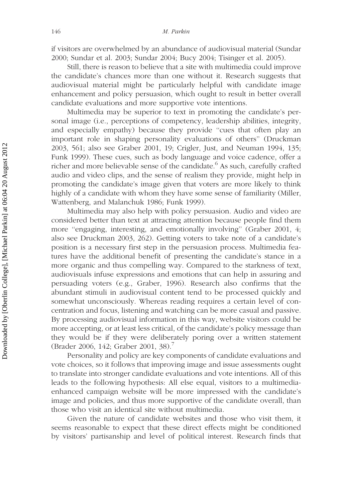if visitors are overwhelmed by an abundance of audiovisual material (Sundar 2000; Sundar et al. 2003; Sundar 2004; Bucy 2004; Tisinger et al. 2005).

Still, there is reason to believe that a site with multimedia could improve the candidate's chances more than one without it. Research suggests that audiovisual material might be particularly helpful with candidate image enhancement and policy persuasion, which ought to result in better overall candidate evaluations and more supportive vote intentions.

Multimedia may be superior to text in promoting the candidate's personal image (i.e., perceptions of competency, leadership abilities, integrity, and especially empathy) because they provide ''cues that often play an important role in shaping personality evaluations of others'' (Druckman 2003, 561; also see Graber 2001, 19; Crigler, Just, and Neuman 1994, 135; Funk 1999). These cues, such as body language and voice cadence, offer a richer and more believable sense of the candidate.<sup>6</sup> As such, carefully crafted audio and video clips, and the sense of realism they provide, might help in promoting the candidate's image given that voters are more likely to think highly of a candidate with whom they have some sense of familiarity (Miller, Wattenberg, and Malanchuk 1986; Funk 1999).

Multimedia may also help with policy persuasion. Audio and video are considered better than text at attracting attention because people find them more ''engaging, interesting, and emotionally involving'' (Graber 2001, 4; also see Druckman 2003, 262). Getting voters to take note of a candidate's position is a necessary first step in the persuasion process. Multimedia features have the additional benefit of presenting the candidate's stance in a more organic and thus compelling way. Compared to the starkness of text, audiovisuals infuse expressions and emotions that can help in assuring and persuading voters (e.g., Graber, 1996). Research also confirms that the abundant stimuli in audiovisual content tend to be processed quickly and somewhat unconsciously. Whereas reading requires a certain level of concentration and focus, listening and watching can be more casual and passive. By processing audiovisual information in this way, website visitors could be more accepting, or at least less critical, of the candidate's policy message than they would be if they were deliberately poring over a written statement (Brader 2006, 142; Graber 2001, 38).<sup>7</sup>

Personality and policy are key components of candidate evaluations and vote choices, so it follows that improving image and issue assessments ought to translate into stronger candidate evaluations and vote intentions. All of this leads to the following hypothesis: All else equal, visitors to a multimediaenhanced campaign website will be more impressed with the candidate's image and policies, and thus more supportive of the candidate overall, than those who visit an identical site without multimedia.

Given the nature of candidate websites and those who visit them, it seems reasonable to expect that these direct effects might be conditioned by visitors' partisanship and level of political interest. Research finds that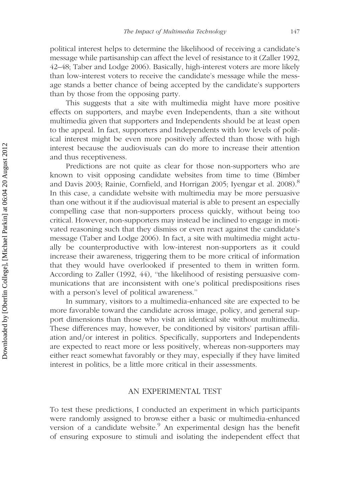political interest helps to determine the likelihood of receiving a candidate's message while partisanship can affect the level of resistance to it (Zaller 1992, 42–48; Taber and Lodge 2006). Basically, high-interest voters are more likely than low-interest voters to receive the candidate's message while the message stands a better chance of being accepted by the candidate's supporters than by those from the opposing party.

This suggests that a site with multimedia might have more positive effects on supporters, and maybe even Independents, than a site without multimedia given that supporters and Independents should be at least open to the appeal. In fact, supporters and Independents with low levels of political interest might be even more positively affected than those with high interest because the audiovisuals can do more to increase their attention and thus receptiveness.

Predictions are not quite as clear for those non-supporters who are known to visit opposing candidate websites from time to time (Bimber and Davis 2003; Rainie, Cornfield, and Horrigan 2005; Iyengar et al. 2008).<sup>8</sup> In this case, a candidate website with multimedia may be more persuasive than one without it if the audiovisual material is able to present an especially compelling case that non-supporters process quickly, without being too critical. However, non-supporters may instead be inclined to engage in motivated reasoning such that they dismiss or even react against the candidate's message (Taber and Lodge 2006). In fact, a site with multimedia might actually be counterproductive with low-interest non-supporters as it could increase their awareness, triggering them to be more critical of information that they would have overlooked if presented to them in written form. According to Zaller (1992, 44), ''the likelihood of resisting persuasive communications that are inconsistent with one's political predispositions rises with a person's level of political awareness.''

In summary, visitors to a multimedia-enhanced site are expected to be more favorable toward the candidate across image, policy, and general support dimensions than those who visit an identical site without multimedia. These differences may, however, be conditioned by visitors' partisan affiliation and/or interest in politics. Specifically, supporters and Independents are expected to react more or less positively, whereas non-supporters may either react somewhat favorably or they may, especially if they have limited interest in politics, be a little more critical in their assessments.

#### AN EXPERIMENTAL TEST

To test these predictions, I conducted an experiment in which participants were randomly assigned to browse either a basic or multimedia-enhanced version of a candidate website.<sup>9</sup> An experimental design has the benefit of ensuring exposure to stimuli and isolating the independent effect that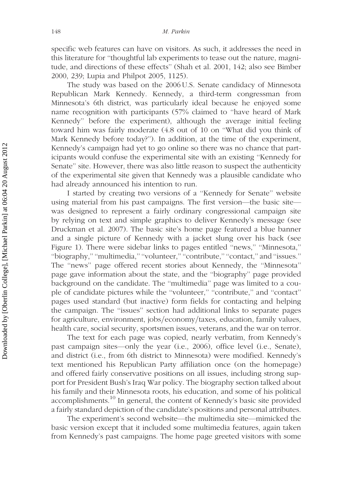specific web features can have on visitors. As such, it addresses the need in this literature for ''thoughtful lab experiments to tease out the nature, magnitude, and directions of these effects'' (Shah et al. 2001, 142; also see Bimber 2000, 239; Lupia and Philpot 2005, 1125).

The study was based on the 2006 U.S. Senate candidacy of Minnesota Republican Mark Kennedy. Kennedy, a third-term congressman from Minnesota's 6th district, was particularly ideal because he enjoyed some name recognition with participants (57% claimed to ''have heard of Mark Kennedy'' before the experiment), although the average initial feeling toward him was fairly moderate (4.8 out of 10 on ''What did you think of Mark Kennedy before today?''). In addition, at the time of the experiment, Kennedy's campaign had yet to go online so there was no chance that participants would confuse the experimental site with an existing ''Kennedy for Senate'' site. However, there was also little reason to suspect the authenticity of the experimental site given that Kennedy was a plausible candidate who had already announced his intention to run.

I started by creating two versions of a ''Kennedy for Senate'' website using material from his past campaigns. The first version—the basic site was designed to represent a fairly ordinary congressional campaign site by relying on text and simple graphics to deliver Kennedy's message (see Druckman et al. 2007). The basic site's home page featured a blue banner and a single picture of Kennedy with a jacket slung over his back (see Figure 1). There were sidebar links to pages entitled ''news,'' ''Minnesota,'' ''biography,'' ''multimedia,'' ''volunteer,'' ''contribute,'' ''contact,'' and ''issues.'' The ''news'' page offered recent stories about Kennedy, the ''Minnesota'' page gave information about the state, and the ''biography'' page provided background on the candidate. The ''multimedia'' page was limited to a couple of candidate pictures while the ''volunteer,'' ''contribute,'' and ''contact'' pages used standard (but inactive) form fields for contacting and helping the campaign. The ''issues'' section had additional links to separate pages for agriculture, environment, jobs/economy/taxes, education, family values, health care, social security, sportsmen issues, veterans, and the war on terror.

The text for each page was copied, nearly verbatim, from Kennedy's past campaign sites—only the year (i.e., 2006), office level (i.e., Senate), and district (i.e., from 6th district to Minnesota) were modified. Kennedy's text mentioned his Republican Party affiliation once (on the homepage) and offered fairly conservative positions on all issues, including strong support for President Bush's Iraq War policy. The biography section talked about his family and their Minnesota roots, his education, and some of his political accomplishments.<sup>10</sup> In general, the content of Kennedy's basic site provided a fairly standard depiction of the candidate's positions and personal attributes.

The experiment's second website—the multimedia site—mimicked the basic version except that it included some multimedia features, again taken from Kennedy's past campaigns. The home page greeted visitors with some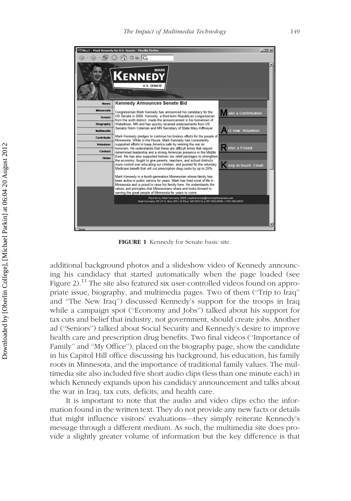

FIGURE 1 Kennedy for Senate basic site.

additional background photos and a slideshow video of Kennedy announcing his candidacy that started automatically when the page loaded (see Figure 2).<sup>11</sup> The site also featured six user-controlled videos found on appropriate issue, biography, and multimedia pages. Two of them (''Trip to Iraq'' and ''The New Iraq'') discussed Kennedy's support for the troops in Iraq while a campaign spot ("Economy and Jobs") talked about his support for tax cuts and belief that industry, not government, should create jobs. Another ad (''Seniors'') talked about Social Security and Kennedy's desire to improve health care and prescription drug benefits. Two final videos (''Importance of Family'' and ''My Office''), placed on the biography page, show the candidate in his Capitol Hill office discussing his background, his education, his family roots in Minnesota, and the importance of traditional family values. The multimedia site also included five short audio clips (less than one minute each) in which Kennedy expands upon his candidacy announcement and talks about the war in Iraq, tax cuts, deficits, and health care.

It is important to note that the audio and video clips echo the information found in the written text. They do not provide any new facts or details that might influence visitors' evaluations—they simply reiterate Kennedy's message through a different medium. As such, the multimedia site does provide a slightly greater volume of information but the key difference is that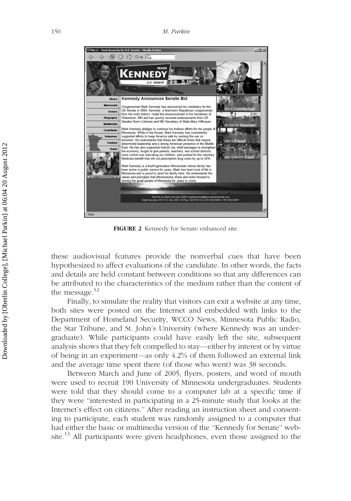

FIGURE 2 Kennedy for Senate enhanced site.

these audiovisual features provide the nonverbal cues that have been hypothesized to affect evaluations of the candidate. In other words, the facts and details are held constant between conditions so that any differences can be attributed to the characteristics of the medium rather than the content of the message.<sup>12</sup>

Finally, to simulate the reality that visitors can exit a website at any time, both sites were posted on the Internet and embedded with links to the Department of Homeland Security, WCCO News, Minnesota Public Radio, the Star Tribune, and St. John's University (where Kennedy was an undergraduate). While participants could have easily left the site, subsequent analysis shows that they felt compelled to stay—either by interest or by virtue of being in an experiment—as only 4.2% of them followed an external link and the average time spent there (of those who went) was 38 seconds.

Between March and June of 2005, flyers, posters, and word of mouth were used to recruit 190 University of Minnesota undergraduates. Students were told that they should come to a computer lab at a specific time if they were ''interested in participating in a 25-minute study that looks at the Internet's effect on citizens.'' After reading an instruction sheet and consenting to participate, each student was randomly assigned to a computer that had either the basic or multimedia version of the ''Kennedy for Senate'' website.<sup>13</sup> All participants were given headphones, even those assigned to the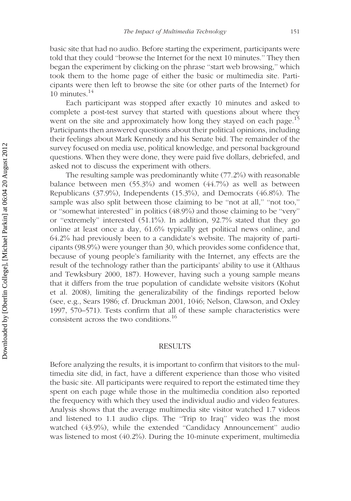basic site that had no audio. Before starting the experiment, participants were told that they could ''browse the Internet for the next 10 minutes.'' They then began the experiment by clicking on the phrase ''start web browsing,'' which took them to the home page of either the basic or multimedia site. Participants were then left to browse the site (or other parts of the Internet) for 10 minutes.<sup>14</sup>

Each participant was stopped after exactly 10 minutes and asked to complete a post-test survey that started with questions about where they went on the site and approximately how long they stayed on each page.<sup>15</sup> Participants then answered questions about their political opinions, including their feelings about Mark Kennedy and his Senate bid. The remainder of the survey focused on media use, political knowledge, and personal background questions. When they were done, they were paid five dollars, debriefed, and asked not to discuss the experiment with others.

The resulting sample was predominantly white (77.2%) with reasonable balance between men (55.3%) and women (44.7%) as well as between Republicans (37.9%), Independents (15.3%), and Democrats (46.8%). The sample was also split between those claiming to be "not at all," "not too," or ''somewhat interested'' in politics (48.9%) and those claiming to be ''very'' or ''extremely'' interested (51.1%). In addition, 92.7% stated that they go online at least once a day, 61.6% typically get political news online, and 64.2% had previously been to a candidate's website. The majority of participants (98.9%) were younger than 30, which provides some confidence that, because of young people's familiarity with the Internet, any effects are the result of the technology rather than the participants' ability to use it (Althaus and Tewksbury 2000, 187). However, having such a young sample means that it differs from the true population of candidate website visitors (Kohut et al. 2008), limiting the generalizability of the findings reported below (see, e.g., Sears 1986; cf. Druckman 2001, 1046; Nelson, Clawson, and Oxley 1997, 570–571). Tests confirm that all of these sample characteristics were consistent across the two conditions.16

#### RESULTS

Before analyzing the results, it is important to confirm that visitors to the multimedia site did, in fact, have a different experience than those who visited the basic site. All participants were required to report the estimated time they spent on each page while those in the multimedia condition also reported the frequency with which they used the individual audio and video features. Analysis shows that the average multimedia site visitor watched 1.7 videos and listened to 1.1 audio clips. The ''Trip to Iraq'' video was the most watched (43.9%), while the extended "Candidacy Announcement" audio was listened to most (40.2%). During the 10-minute experiment, multimedia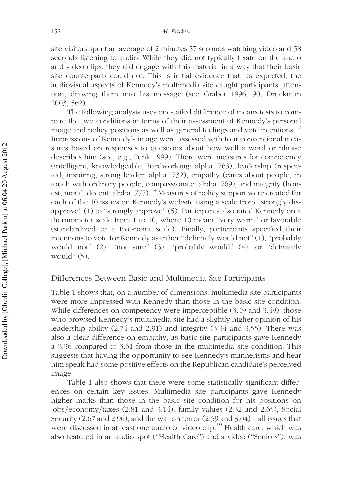site visitors spent an average of 2 minutes 57 seconds watching video and 58 seconds listening to audio. While they did not typically fixate on the audio and video clips, they did engage with this material in a way that their basic site counterparts could not. This is initial evidence that, as expected, the audiovisual aspects of Kennedy's multimedia site caught participants' attention, drawing them into his message (see Graber 1996, 90; Druckman 2003, 562).

The following analysis uses one-tailed difference of means tests to compare the two conditions in terms of their assessment of Kennedy's personal image and policy positions as well as general feelings and vote intentions.<sup>17</sup> Impressions of Kennedy's image were assessed with four conventional measures based on responses to questions about how well a word or phrase describes him (see, e.g., Funk 1999). There were measures for competency (intelligent, knowledgeable, hardworking: alpha .763), leadership (respected, inspiring, strong leader: alpha .732), empathy (cares about people, in touch with ordinary people, compassionate: alpha .769), and integrity (honest, moral, decent: alpha .777).18 Measures of policy support were created for each of the 10 issues on Kennedy's website using a scale from ''strongly disapprove'' (1) to ''strongly approve'' (5). Participants also rated Kennedy on a thermometer scale from 1 to 10, where 10 meant ''very warm'' or favorable (standardized to a five-point scale). Finally, participants specified their intentions to vote for Kennedy as either ''definitely would not'' (1), ''probably would not'' (2), ''not sure'' (3), ''probably would'' (4), or ''definitely would'' (5).

#### Differences Between Basic and Multimedia Site Participants

Table 1 shows that, on a number of dimensions, multimedia site participants were more impressed with Kennedy than those in the basic site condition. While differences on competency were imperceptible (3.49 and 3.49), those who browsed Kennedy's multimedia site had a slightly higher opinion of his leadership ability (2.74 and 2.91) and integrity (3.34 and 3.55). There was also a clear difference on empathy, as basic site participants gave Kennedy a 3.36 compared to 3.61 from those in the multimedia site condition. This suggests that having the opportunity to see Kennedy's mannerisms and hear him speak had some positive effects on the Republican candidate's perceived image.

Table 1 also shows that there were some statistically significant differences on certain key issues. Multimedia site participants gave Kennedy higher marks than those in the basic site condition for his positions on jobs/economy/taxes  $(2.81$  and  $3.14)$ , family values  $(2.32$  and  $2.65)$ , Social Security (2.67 and 2.96), and the war on terror (2.59 and 3.04)—all issues that were discussed in at least one audio or video clip.<sup>19</sup> Health care, which was also featured in an audio spot (''Health Care'') and a video (''Seniors''), was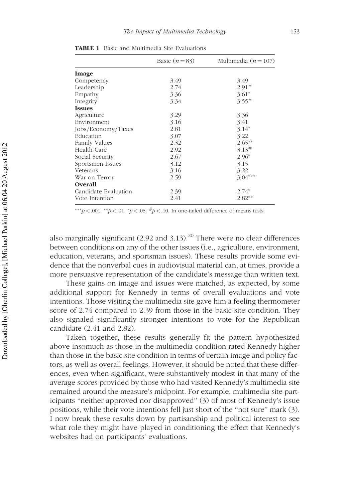|                      | Basic $(n=83)$ | Multimedia $(n=107)$ |
|----------------------|----------------|----------------------|
| Image                |                |                      |
| Competency           | 3.49           | 3.49                 |
| Leadership           | 2.74           | $2.91^{\#}$          |
| Empathy              | 3.36           | $3.61*$              |
| Integrity            | 3.34           | $3.55^{\#}$          |
| <b>Issues</b>        |                |                      |
| Agriculture          | 3.29           | 3.36                 |
| Environment          | 3.16           | 3.41                 |
| Jobs/Economy/Taxes   | 2.81           | $3.14*$              |
| Education            | 3.07           | 3.22                 |
| <b>Family Values</b> | 2.32           | $2.65***$            |
| Health Care          | 2.92           | 3.13#                |
| Social Security      | 2.67           | $2.96*$              |
| Sportsmen Issues     | 3.12           | 3.15                 |
| Veterans             | 3.16           | 3.22                 |
| War on Terror        | 2.59           | $3.04***$            |
| Overall              |                |                      |
| Candidate Evaluation | 2.39           | $2.74*$              |
| Vote Intention       | 2.41           | $2.82**$             |

TABLE 1 Basic and Multimedia Site Evaluations

\*\*\* $p$  < .001. \*\* $p$  < .01. \* $p$  < .05.  $#p$  < .10. In one-tailed difference of means tests.

also marginally significant (2.92 and 3.13).<sup>20</sup> There were no clear differences between conditions on any of the other issues (i.e., agriculture, environment, education, veterans, and sportsman issues). These results provide some evidence that the nonverbal cues in audiovisual material can, at times, provide a more persuasive representation of the candidate's message than written text.

These gains on image and issues were matched, as expected, by some additional support for Kennedy in terms of overall evaluations and vote intentions. Those visiting the multimedia site gave him a feeling thermometer score of 2.74 compared to 2.39 from those in the basic site condition. They also signaled significantly stronger intentions to vote for the Republican candidate (2.41 and 2.82).

Taken together, these results generally fit the pattern hypothesized above insomuch as those in the multimedia condition rated Kennedy higher than those in the basic site condition in terms of certain image and policy factors, as well as overall feelings. However, it should be noted that these differences, even when significant, were substantively modest in that many of the average scores provided by those who had visited Kennedy's multimedia site remained around the measure's midpoint. For example, multimedia site participants ''neither approved nor disapproved'' (3) of most of Kennedy's issue positions, while their vote intentions fell just short of the ''not sure'' mark (3). I now break these results down by partisanship and political interest to see what role they might have played in conditioning the effect that Kennedy's websites had on participants' evaluations.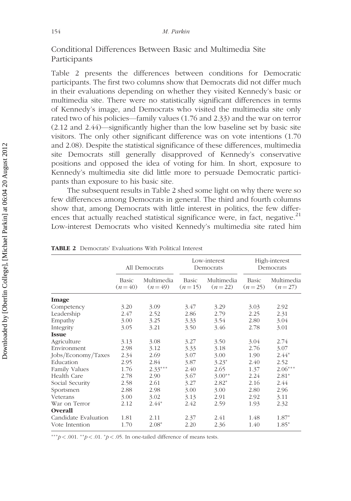Conditional Differences Between Basic and Multimedia Site Participants

Table 2 presents the differences between conditions for Democratic participants. The first two columns show that Democrats did not differ much in their evaluations depending on whether they visited Kennedy's basic or multimedia site. There were no statistically significant differences in terms of Kennedy's image, and Democrats who visited the multimedia site only rated two of his policies—family values (1.76 and 2.33) and the war on terror (2.12 and 2.44)—significantly higher than the low baseline set by basic site visitors. The only other significant difference was on vote intentions (1.70 and 2.08). Despite the statistical significance of these differences, multimedia site Democrats still generally disapproved of Kennedy's conservative positions and opposed the idea of voting for him. In short, exposure to Kennedy's multimedia site did little more to persuade Democratic participants than exposure to his basic site.

The subsequent results in Table 2 shed some light on why there were so few differences among Democrats in general. The third and fourth columns show that, among Democrats with little interest in politics, the few differences that actually reached statistical significance were, in fact, negative. $21$ Low-interest Democrats who visited Kennedy's multimedia site rated him

|                      | All Democrats     |                        | Low-interest<br>Democrats |                        | High-interest<br>Democrats |                        |
|----------------------|-------------------|------------------------|---------------------------|------------------------|----------------------------|------------------------|
|                      | Basic<br>$(n=40)$ | Multimedia<br>$(n=49)$ | Basic<br>$(n=15)$         | Multimedia<br>$(n=22)$ | Basic<br>$(n=25)$          | Multimedia<br>$(n=27)$ |
| Image                |                   |                        |                           |                        |                            |                        |
| Competency           | 3.20              | 3.09                   | 3.47                      | 3.29                   | 3.03                       | 2.92                   |
| Leadership           | 2.47              | 2.52                   | 2.86                      | 2.79                   | 2.25                       | 2.31                   |
| Empathy              | 3.00              | 3.25                   | 3.33                      | 3.54                   | 2.80                       | 3.04                   |
| Integrity            | 3.05              | 3.21                   | 3.50                      | 3.46                   | 2.78                       | 3.01                   |
| <b>Issue</b>         |                   |                        |                           |                        |                            |                        |
| Agriculture          | 3.13              | 3.08                   | 3.27                      | 3.50                   | 3.04                       | 2.74                   |
| Environment          | 2.98              | 3.12                   | 3.33                      | 3.18                   | 2.76                       | 3.07                   |
| Jobs/Economy/Taxes   | 2.34              | 2.69                   | 3.07                      | 3.00                   | 1.90                       | $2.44*$                |
| Education            | 2.95              | 2.84                   | 3.87                      | $3.23*$                | 2.40                       | 2.52                   |
| Family Values        | 1.76              | $2.33***$              | 2.40                      | 2.65                   | 1.37                       | $2.06***$              |
| Health Care          | 2.78              | 2.90                   | 3.67                      | $3.00**$               | 2.24                       | $2.81*$                |
| Social Security      | 2.58              | 2.61                   | 3.27                      | $2.82*$                | 2.16                       | 2.44                   |
| Sportsmen            | 2.88              | 2.98                   | 3.00                      | 3.00                   | 2.80                       | 2.96                   |
| Veterans             | 3.00              | 3.02                   | 3.13                      | 2.91                   | 2.92                       | 3.11                   |
| War on Terror        | 2.12              | $2.44*$                | 2.42                      | 2.59                   | 1.93                       | 2.32                   |
| Overall              |                   |                        |                           |                        |                            |                        |
| Candidate Evaluation | 1.81              | 2.11                   | 2.37                      | 2.41                   | 1.48                       | $1.87*$                |
| Vote Intention       | 1.70              | $2.08*$                | 2.20                      | 2.36                   | 1.40                       | $1.85*$                |

TABLE 2 Democrats' Evaluations With Political Interest

\*\*\* $p < .001$ . \*\* $p < .01$ . \* $p < .05$ . In one-tailed difference of means tests.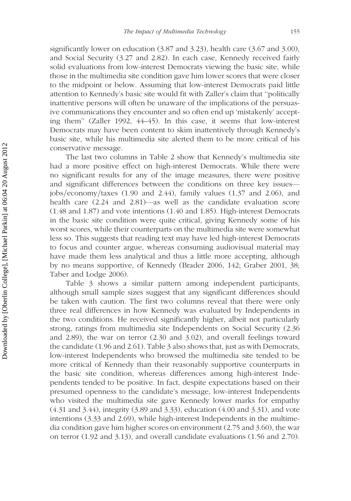significantly lower on education (3.87 and 3.23), health care (3.67 and 3.00), and Social Security (3.27 and 2.82). In each case, Kennedy received fairly solid evaluations from low-interest Democrats viewing the basic site, while those in the multimedia site condition gave him lower scores that were closer to the midpoint or below. Assuming that low-interest Democrats paid little attention to Kennedy's basic site would fit with Zaller's claim that ''politically inattentive persons will often be unaware of the implications of the persuasive communications they encounter and so often end up 'mistakenly' accepting them'' (Zaller 1992, 44–45). In this case, it seems that low-interest Democrats may have been content to skim inattentively through Kennedy's basic site, while his multimedia site alerted them to be more critical of his conservative message.

The last two columns in Table 2 show that Kennedy's multimedia site had a more positive effect on high-interest Democrats. While there were no significant results for any of the image measures, there were positive and significant differences between the conditions on three key issues jobs/economy/taxes  $(1.90 \text{ and } 2.44)$ , family values  $(1.37 \text{ and } 2.06)$ , and health care (2.24 and 2.81)—as well as the candidate evaluation score (1.48 and 1.87) and vote intentions (1.40 and 1.85). High-interest Democrats in the basic site condition were quite critical, giving Kennedy some of his worst scores, while their counterparts on the multimedia site were somewhat less so. This suggests that reading text may have led high-interest Democrats to focus and counter argue, whereas consuming audiovisual material may have made them less analytical and thus a little more accepting, although by no means supportive, of Kennedy (Brader 2006, 142; Graber 2001, 38; Taber and Lodge 2006).

Table 3 shows a similar pattern among independent participants, although small sample sizes suggest that any significant differences should be taken with caution. The first two columns reveal that there were only three real differences in how Kennedy was evaluated by Independents in the two conditions. He received significantly higher, albeit not particularly strong, ratings from multimedia site Independents on Social Security (2.36 and 2.89), the war on terror (2.30 and 3.02), and overall feelings toward the candidate (1.96 and 2.61). Table 3 also shows that, just as with Democrats, low-interest Independents who browsed the multimedia site tended to be more critical of Kennedy than their reasonably supportive counterparts in the basic site condition, whereas differences among high-interest Independents tended to be positive. In fact, despite expectations based on their presumed openness to the candidate's message, low-interest Independents who visited the multimedia site gave Kennedy lower marks for empathy (4.31 and 3.44), integrity (3.89 and 3.33), education (4.00 and 3.31), and vote intentions (3.33 and 2.69), while high-interest Independents in the multimedia condition gave him higher scores on environment (2.75 and 3.60), the war on terror (1.92 and 3.13), and overall candidate evaluations (1.56 and 2.70).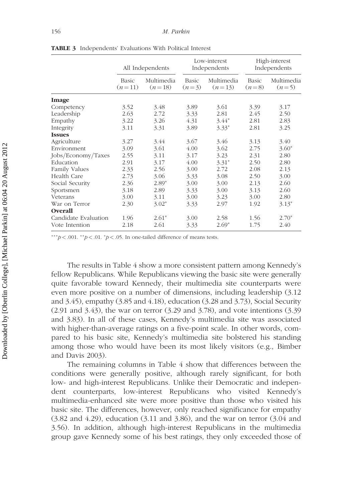|                      | All Independents         |                        | Low-interest<br>Independents |                        | High-interest<br>Independents |                       |
|----------------------|--------------------------|------------------------|------------------------------|------------------------|-------------------------------|-----------------------|
|                      | <b>Basic</b><br>$(n=11)$ | Multimedia<br>$(n=18)$ | Basic<br>$(n=3)$             | Multimedia<br>$(n=13)$ | Basic<br>$(n=8)$              | Multimedia<br>$(n=5)$ |
| Image                |                          |                        |                              |                        |                               |                       |
| Competency           | 3.52                     | 3.48                   | 3.89                         | 3.61                   | 3.39                          | 3.17                  |
| Leadership           | 2.63                     | 2.72                   | 3.33                         | 2.81                   | 2.45                          | 2.50                  |
| Empathy              | 3.22                     | 3.26                   | 4.31                         | $3.44*$                | 2.81                          | 2.83                  |
| Integrity            | 3.11                     | 3.31                   | 3.89                         | $3.33*$                | 2.81                          | 3.25                  |
| <b>Issues</b>        |                          |                        |                              |                        |                               |                       |
| Agriculture          | 3.27                     | 3.44                   | 3.67                         | 3.46                   | 3.13                          | 3.40                  |
| Environment          | 3.09                     | 3.61                   | 4.00                         | 3.62                   | 2.75                          | $3.60*$               |
| Jobs/Economy/Taxes   | 2.55                     | 3.11                   | 3.17                         | 3.23                   | 2.31                          | 2.80                  |
| Education            | 2.91                     | 3.17                   | 4.00                         | $3.31*$                | 2.50                          | 2.80                  |
| Family Values        | 2.33                     | 2.56                   | 3.00                         | 2.72                   | 2.08                          | 2.13                  |
| Health Care          | 2.73                     | 3.06                   | 3.33                         | 3.08                   | 2.50                          | 3.00                  |
| Social Security      | 2.36                     | $2.89*$                | 3.00                         | 3.00                   | 2.13                          | 2.60                  |
| Sportsmen            | 3.18                     | 2.89                   | 3.33                         | 3.00                   | 3.13                          | 2.60                  |
| Veterans             | 3.00                     | 3.11                   | 3.00                         | 3.23                   | 3.00                          | 2.80                  |
| War on Terror        | 2.30                     | $3.02*$                | 3.33                         | 2.97                   | 1.92                          | $3.13*$               |
| Overall              |                          |                        |                              |                        |                               |                       |
| Candidate Evaluation | 1.96                     | $2.61*$                | 3.00                         | 2.58                   | 1.56                          | $2.70*$               |
| Vote Intention       | 2.18                     | 2.61                   | 3.33                         | $2.69*$                | 1.75                          | 2.40                  |

TABLE 3 Independents' Evaluations With Political Interest

\*\*\* $p < .001$ . \*\* $p < .01$ . \* $p < .05$ . In one-tailed difference of means tests.

The results in Table 4 show a more consistent pattern among Kennedy's fellow Republicans. While Republicans viewing the basic site were generally quite favorable toward Kennedy, their multimedia site counterparts were even more positive on a number of dimensions, including leadership (3.12 and 3.45), empathy (3.85 and 4.18), education (3.28 and 3.73), Social Security (2.91 and 3.43), the war on terror (3.29 and 3.78), and vote intentions (3.39 and 3.83). In all of these cases, Kennedy's multimedia site was associated with higher-than-average ratings on a five-point scale. In other words, compared to his basic site, Kennedy's multimedia site bolstered his standing among those who would have been its most likely visitors (e.g., Bimber and Davis 2003).

The remaining columns in Table 4 show that differences between the conditions were generally positive, although rarely significant, for both low- and high-interest Republicans. Unlike their Democratic and independent counterparts, low-interest Republicans who visited Kennedy's multimedia-enhanced site were more positive than those who visited his basic site. The differences, however, only reached significance for empathy (3.82 and 4.29), education (3.11 and 3.86), and the war on terror (3.04 and 3.56). In addition, although high-interest Republicans in the multimedia group gave Kennedy some of his best ratings, they only exceeded those of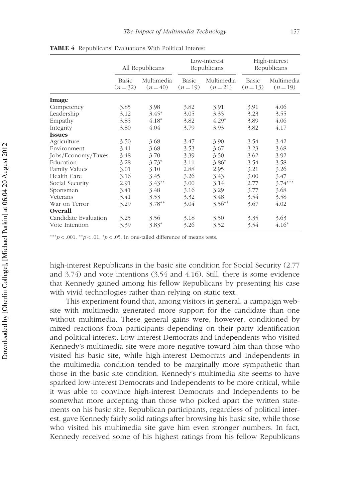|                      | All Republicans   |                        | Low-interest<br>Republicans |                        | High-interest<br>Republicans |                        |
|----------------------|-------------------|------------------------|-----------------------------|------------------------|------------------------------|------------------------|
|                      | Basic<br>$(n=32)$ | Multimedia<br>$(n=40)$ | Basic<br>$(n=19)$           | Multimedia<br>$(n=21)$ | Basic<br>$(n=13)$            | Multimedia<br>$(n=19)$ |
| Image                |                   |                        |                             |                        |                              |                        |
| Competency           | 3.85              | 3.98                   | 3.82                        | 3.91                   | 3.91                         | 4.06                   |
| Leadership           | 3.12              | $3.45*$                | 3.05                        | 3.35                   | 3.23                         | 3.55                   |
| Empathy              | 3.85              | $4.18*$                | 3.82                        | $4.29*$                | 3.89                         | 4.06                   |
| Integrity            | 3.80              | 4.04                   | 3.79                        | 3.93                   | 3.82                         | 4.17                   |
| <b>Issues</b>        |                   |                        |                             |                        |                              |                        |
| Agriculture          | 3.50              | 3.68                   | 3.47                        | 3.90                   | 3.54                         | 3.42                   |
| Environment          | 3.41              | 3.68                   | 3.53                        | 3.67                   | 3.23                         | 3.68                   |
| Jobs/Economy/Taxes   | 3.48              | 3.70                   | 3.39                        | 3.50                   | 3.62                         | 3.92                   |
| Education            | 3.28              | $3.73*$                | 3.11                        | $3.86*$                | 3.54                         | 3.58                   |
| Family Values        | 3.01              | 3.10                   | 2.88                        | 2.95                   | 3.21                         | 3.26                   |
| Health Care          | 3.16              | 3.45                   | 3.26                        | 3.43                   | 3.00                         | 3.47                   |
| Social Security      | 2.91              | $3.43**$               | 3.00                        | 3.14                   | 2.77                         | $3.74***$              |
| Sportsmen            | 3.41              | 3.48                   | 3.16                        | 3.29                   | 3.77                         | 3.68                   |
| Veterans             | 3.41              | 3.53                   | 3.32                        | 3.48                   | 3.54                         | 3.58                   |
| War on Terror        | 3.29              | $3.78**$               | 3.04                        | $3.56**$               | 3.67                         | 4.02                   |
| Overall              |                   |                        |                             |                        |                              |                        |
| Candidate Evaluation | 3.25              | 3.56                   | 3.18                        | 3.50                   | 3.35                         | 3.63                   |
| Vote Intention       | 3.39              | $3.83*$                | 3.26                        | 3.52                   | 3.54                         | $4.16*$                |

TABLE 4 Republicans' Evaluations With Political Interest

\*\*\* $p < .001$ . \*\* $p < .01$ . \* $p < .05$ . In one-tailed difference of means tests.

high-interest Republicans in the basic site condition for Social Security (2.77) and 3.74) and vote intentions (3.54 and 4.16). Still, there is some evidence that Kennedy gained among his fellow Republicans by presenting his case with vivid technologies rather than relying on static text.

This experiment found that, among visitors in general, a campaign website with multimedia generated more support for the candidate than one without multimedia. These general gains were, however, conditioned by mixed reactions from participants depending on their party identification and political interest. Low-interest Democrats and Independents who visited Kennedy's multimedia site were more negative toward him than those who visited his basic site, while high-interest Democrats and Independents in the multimedia condition tended to be marginally more sympathetic than those in the basic site condition. Kennedy's multimedia site seems to have sparked low-interest Democrats and Independents to be more critical, while it was able to convince high-interest Democrats and Independents to be somewhat more accepting than those who picked apart the written statements on his basic site. Republican participants, regardless of political interest, gave Kennedy fairly solid ratings after browsing his basic site, while those who visited his multimedia site gave him even stronger numbers. In fact, Kennedy received some of his highest ratings from his fellow Republicans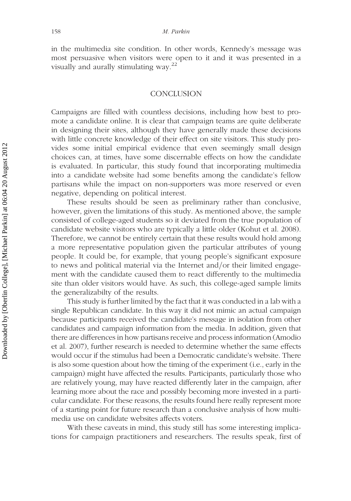in the multimedia site condition. In other words, Kennedy's message was most persuasive when visitors were open to it and it was presented in a visually and aurally stimulating way.22

#### **CONCLUSION**

Campaigns are filled with countless decisions, including how best to promote a candidate online. It is clear that campaign teams are quite deliberate in designing their sites, although they have generally made these decisions with little concrete knowledge of their effect on site visitors. This study provides some initial empirical evidence that even seemingly small design choices can, at times, have some discernable effects on how the candidate is evaluated. In particular, this study found that incorporating multimedia into a candidate website had some benefits among the candidate's fellow partisans while the impact on non-supporters was more reserved or even negative, depending on political interest.

These results should be seen as preliminary rather than conclusive, however, given the limitations of this study. As mentioned above, the sample consisted of college-aged students so it deviated from the true population of candidate website visitors who are typically a little older (Kohut et al. 2008). Therefore, we cannot be entirely certain that these results would hold among a more representative population given the particular attributes of young people. It could be, for example, that young people's significant exposure to news and political material via the Internet and/or their limited engagement with the candidate caused them to react differently to the multimedia site than older visitors would have. As such, this college-aged sample limits the generalizabilty of the results.

This study is further limited by the fact that it was conducted in a lab with a single Republican candidate. In this way it did not mimic an actual campaign because participants received the candidate's message in isolation from other candidates and campaign information from the media. In addition, given that there are differences in how partisans receive and process information (Amodio et al. 2007), further research is needed to determine whether the same effects would occur if the stimulus had been a Democratic candidate's website. There is also some question about how the timing of the experiment (i.e., early in the campaign) might have affected the results. Participants, particularly those who are relatively young, may have reacted differently later in the campaign, after learning more about the race and possibly becoming more invested in a particular candidate. For these reasons, the results found here really represent more of a starting point for future research than a conclusive analysis of how multimedia use on candidate websites affects voters.

With these caveats in mind, this study still has some interesting implications for campaign practitioners and researchers. The results speak, first of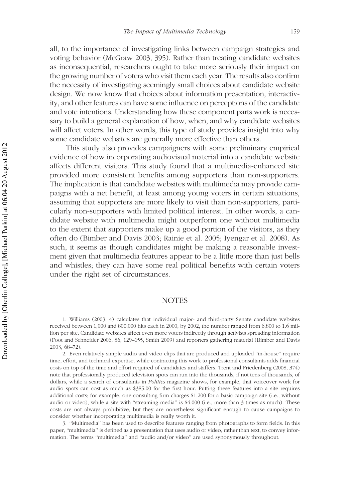all, to the importance of investigating links between campaign strategies and voting behavior (McGraw 2003, 395). Rather than treating candidate websites as inconsequential, researchers ought to take more seriously their impact on the growing number of voters who visit them each year. The results also confirm the necessity of investigating seemingly small choices about candidate website design. We now know that choices about information presentation, interactivity, and other features can have some influence on perceptions of the candidate and vote intentions. Understanding how these component parts work is necessary to build a general explanation of how, when, and why candidate websites will affect voters. In other words, this type of study provides insight into why some candidate websites are generally more effective than others.

This study also provides campaigners with some preliminary empirical evidence of how incorporating audiovisual material into a candidate website affects different visitors. This study found that a multimedia-enhanced site provided more consistent benefits among supporters than non-supporters. The implication is that candidate websites with multimedia may provide campaigns with a net benefit, at least among young voters in certain situations, assuming that supporters are more likely to visit than non-supporters, particularly non-supporters with limited political interest. In other words, a candidate website with multimedia might outperform one without multimedia to the extent that supporters make up a good portion of the visitors, as they often do (Bimber and Davis 2003; Rainie et al. 2005; Iyengar et al. 2008). As such, it seems as though candidates might be making a reasonable investment given that multimedia features appear to be a little more than just bells and whistles; they can have some real political benefits with certain voters under the right set of circumstances.

#### **NOTES**

1. Williams (2003, 4) calculates that individual major- and third-party Senate candidate websites received between 1,000 and 800,000 hits each in 2000; by 2002, the number ranged from 6,800 to 1.6 million per site. Candidate websites affect even more voters indirectly through activists spreading information (Foot and Schneider 2006, 86, 129–155; Smith 2009) and reporters gathering material (Bimber and Davis 2003, 68–72).

2. Even relatively simple audio and video clips that are produced and uploaded ''in-house'' require time, effort, and technical expertise, while contracting this work to professional consultants adds financial costs on top of the time and effort required of candidates and staffers. Trent and Friedenberg (2008, 374) note that professionally produced television spots can run into the thousands, if not tens of thousands, of dollars, while a search of consultants in Politics magazine shows, for example, that voiceover work for audio spots can cost as much as \$385.00 for the first hour. Putting these features into a site requires additional costs; for example, one consulting firm charges \$1,200 for a basic campaign site (i.e., without audio or video), while a site with ''streaming media'' is \$4,000 (i.e., more than 3 times as much). These costs are not always prohibitive, but they are nonetheless significant enough to cause campaigns to consider whether incorporating multimedia is really worth it.

3. ''Multimedia'' has been used to describe features ranging from photographs to form fields. In this paper, ''multimedia'' is defined as a presentation that uses audio or video, rather than text, to convey information. The terms "multimedia" and "audio and/or video" are used synonymously throughout.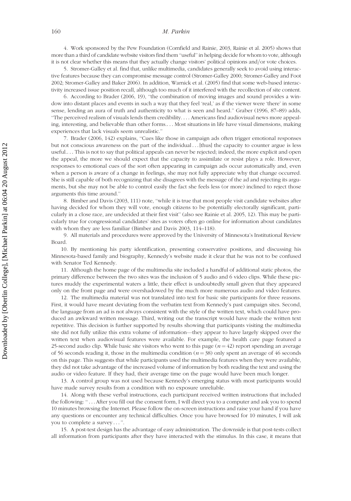#### 160 M. Parkin

4. Work sponsored by the Pew Foundation (Cornfield and Rainie, 2003, Rainie et al. 2005) shows that more than a third of candidate website visitors find them ''useful'' in helping decide for whom to vote, although it is not clear whether this means that they actually change visitors' political opinions and/or vote choices.

5. Stromer-Galley et al. find that, unlike multimedia, candidates generally seek to avoid using interactive features because they can compromise message control (Stromer-Galley 2000; Stromer-Galley and Foot 2002; Stromer-Galley and Baker 2006). In addition, Warnick et al. (2005) find that some web-based interactivity increased issue position recall, although too much of it interfered with the recollection of site content.

6. According to Brader (2006, 19), ''the combination of moving images and sound provides a window into distant places and events in such a way that they feel 'real,' as if the viewer were 'there' in some sense, lending an aura of truth and authenticity to what is seen and heard.'' Graber (1996, 87–89) adds, ''The perceived realism of visuals lends them credibility. ... Americans find audiovisual news more appealing, interesting, and believable than other forms.... Most situations in life have visual dimensions, making experiences that lack visuals seem unrealistic.''

7. Brader (2006, 142) explains, ''Cues like those in campaign ads often trigger emotional responses but not conscious awareness on the part of the individual ... [thus] the capacity to counter argue is less useful.... This is not to say that political appeals can never be rejected; indeed, the more explicit and open the appeal, the more we should expect that the capacity to assimilate or resist plays a role. However, responses to emotional cues of the sort often appearing in campaign ads occur automatically and, even when a person is aware of a change in feelings, she may not fully appreciate why that change occurred. She is still capable of both recognizing that she disagrees with the message of the ad and rejecting its arguments, but she may not be able to control easily the fact she feels less (or more) inclined to reject those arguments this time around.''

8. Bimber and Davis (2003, 111) note, ''while it is true that most people visit candidate websites after having decided for whom they will vote, enough citizens to be potentially electorally significant, particularly in a close race, are undecided at their first visit'' (also see Rainie et al. 2005, 12). This may be particularly true for congressional candidates' sites as voters often go online for information about candidates with whom they are less familiar (Bimber and Davis 2003, 114–118).

9. All materials and procedures were approved by the University of Minnesota's Institutional Review Board.

10. By mentioning his party identification, presenting conservative positions, and discussing his Minnesota-based family and biography, Kennedy's website made it clear that he was not to be confused with Senator Ted Kennedy.

11. Although the home page of the multimedia site included a handful of additional static photos, the primary difference between the two sites was the inclusion of 5 audio and 6 video clips. While these pictures muddy the experimental waters a little, their effect is undoubtedly small given that they appeared only on the front page and were overshadowed by the much more numerous audio and video features.

12. The multimedia material was not translated into text for basic site participants for three reasons. First, it would have meant deviating from the verbatim text from Kennedy's past campaign sites. Second, the language from an ad is not always consistent with the style of the written text, which could have produced an awkward written message. Third, writing out the transcript would have made the written text repetitive. This decision is further supported by results showing that participants visiting the multimedia site did not fully utilize this extra volume of information—they appear to have largely skipped over the written text when audiovisual features were available. For example, the health care page featured a 25-second audio clip. While basic site visitors who went to this page  $(n = 42)$  report spending an average of 56 seconds reading it, those in the multimedia condition ( $n = 38$ ) only spent an average of 46 seconds on this page. This suggests that while participants used the multimedia features when they were available, they did not take advantage of the increased volume of information by both reading the text and using the audio or video feature. If they had, their average time on the page would have been much longer.

13. A control group was not used because Kennedy's emerging status with most participants would have made survey results from a condition with no exposure unreliable.

14. Along with these verbal instructions, each participant received written instructions that included the following: '' ... After you fill out the consent form, I will direct you to a computer and ask you to spend 10 minutes browsing the Internet. Please follow the on-screen instructions and raise your hand if you have any questions or encounter any technical difficulties. Once you have browsed for 10 minutes, I will ask you to complete a survey ... ''.

15. A post-test design has the advantage of easy administration. The downside is that post-tests collect all information from participants after they have interacted with the stimulus. In this case, it means that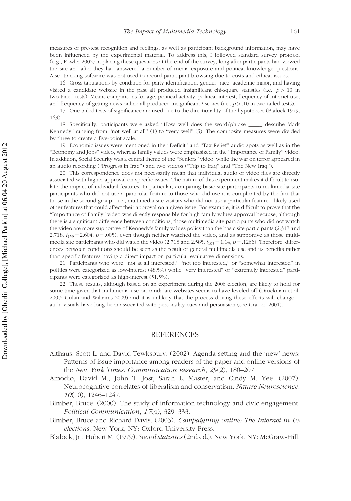measures of pre-test recognition and feelings, as well as participant background information, may have been influenced by the experimental material. To address this, I followed standard survey protocol (e.g., Fowler 2002) in placing these questions at the end of the survey, long after participants had viewed the site and after they had answered a number of media exposure and political knowledge questions. Also, tracking software was not used to record participant browsing due to costs and ethical issues.

16. Cross tabulations by condition for party identification, gender, race, academic major, and having visited a candidate website in the past all produced insignificant chi-square statistics (i.e.,  $p > 0.10$  in two-tailed tests). Means comparisons for age, political activity, political interest, frequency of Internet use, and frequency of getting news online all produced insignificant  $t$ -scores (i.e.,  $p$  > .10 in two-tailed tests).

17. One-tailed tests of significance are used due to the directionality of the hypotheses (Blalock 1979, 163).

18. Specifically, participants were asked ''How well does the word=phrase \_\_\_\_\_ describe Mark Kennedy" ranging from "not well at all" (1) to "very well" (5). The composite measures were divided by three to create a five-point scale.

19. Economic issues were mentioned in the ''Deficit'' and ''Tax Relief'' audio spots as well as in the ''Economy and Jobs'' video, whereas family values were emphasized in the ''Importance of Family'' video. In addition, Social Security was a central theme of the ''Seniors'' video, while the war on terror appeared in an audio recording (''Progress in Iraq'') and two videos (''Trip to Iraq'' and ''The New Iraq'').

20. This correspondence does not necessarily mean that individual audio or video files are directly associated with higher approval on specific issues. The nature of this experiment makes it difficult to isolate the impact of individual features. In particular, comparing basic site participants to multimedia site participants who did not use a particular feature to those who did use it is complicated by the fact that those in the second group—i.e., multimedia site visitors who did not use a particular feature—likely used other features that could affect their approval on a given issue. For example, it is difficult to prove that the ''Importance of Family'' video was directly responsible for high family values approval because, although there is a significant difference between conditions, those multimedia site participants who did not watch the video are more supportive of Kennedy's family values policy than the basic site participants (2.317 and 2.718,  $t_{159} = 2.604$ ,  $p = .005$ ), even though neither watched the video, and as supportive as those multimedia site participants who did watch the video (2.718 and 2.585,  $t_{105} = 1.14$ ,  $p = .1266$ ). Therefore, differences between conditions should be seen as the result of general multimedia use and its benefits rather than specific features having a direct impact on particular evaluative dimensions.

21. Participants who were ''not at all interested,'' ''not too interested,'' or ''somewhat interested'' in politics were categorized as low-interest (48.5%) while ''very interested'' or ''extremely interested'' participants were categorized as high-interest (51.5%).

22. These results, although based on an experiment during the 2006 election, are likely to hold for some time given that multimedia use on candidate websites seems to have leveled off (Druckman et al. 2007; Gulati and Williams 2009) and it is unlikely that the process driving these effects will change audiovisuals have long been associated with personality cues and persuasion (see Graber, 2001).

#### REFERENCES

- Althaus, Scott L. and David Tewksbury. (2002). Agenda setting and the 'new' news: Patterns of issue importance among readers of the paper and online versions of the New York Times. Communication Research, 29(2), 180–207.
- Amodio, David M., John T. Jost, Sarah L. Master, and Cindy M. Yee. (2007). Neurocognitive correlates of liberalism and conservatism. Nature Neuroscience, 10(10), 1246–1247.
- Bimber, Bruce. (2000). The study of information technology and civic engagement. Political Communication, 17(4), 329–333.
- Bimber, Bruce and Richard Davis. (2003). Campaigning online: The Internet in US elections. New York, NY: Oxford University Press.

Blalock, Jr., Hubert M. (1979). Social statistics (2nd ed.). New York, NY: McGraw-Hill.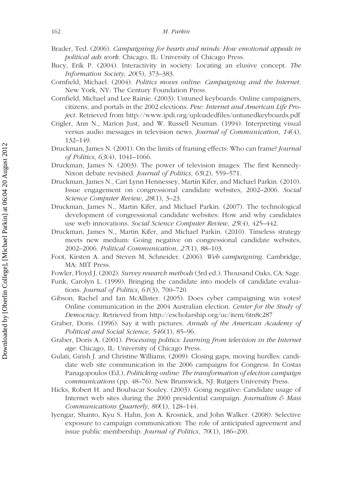- Brader, Ted. (2006). Campaigning for hearts and minds: How emotional appeals in political ads work. Chicago, IL: University of Chicago Press.
- Bucy, Erik P. (2004). Interactivity in society: Locating an elusive concept. The Information Society, 20(5), 373–383.
- Cornfield, Michael. (2004). Politics moves online: Campaigning and the Internet. New York, NY: The Century Foundation Press.
- Cornfield, Michael and Lee Rainie. (2003). Untuned keyboards: Online campaigners, citizens, and portals in the 2002 elections. Pew: Internet and American Life Project. Retrieved from http://www.ipdi.org/uploadedfiles/untunedkeyboards.pdf
- Crigler, Ann N., Marion Just, and W. Russell Neuman. (1994). Interpreting visual versus audio messages in television news. Journal of Communication,  $14(4)$ , 132–149.
- Druckman, James N. (2001). On the limits of framing effects: Who can frame? Journal of Politics, 63(4), 1041–1066.
- Druckman, James N. (2003). The power of television images: The first Kennedy-Nixon debate revisited. *Journal of Politics*, 65(2), 559–571.
- Druckman, James N., Cari Lynn Hennessey, Martin Kifer, and Michael Parkin. (2010). Issue engagement on congressional candidate websites, 2002–2006. Social Science Computer Review, 28(1), 3–23.
- Druckman, James N., Martin Kifer, and Michael Parkin. (2007). The technological development of congressional candidate websites: How and why candidates use web innovations. Social Science Computer Review, 25(4), 425–442.
- Druckman, James N., Martin Kifer, and Michael Parkin. (2010). Timeless strategy meets new medium: Going negative on congressional candidate websites, 2002–2006. Political Communication, 27(1), 88–103.
- Foot, Kirsten A. and Steven M. Schneider. (2006). Web campaigning. Cambridge, MA: MIT Press.
- Fowler, Floyd J. (2002). Survey research methods (3rd ed.). Thousand Oaks, CA: Sage.
- Funk, Carolyn L. (1999). Bringing the candidate into models of candidate evaluations. Journal of Politics, 61(3), 700–720.
- Gibson, Rachel and Ian McAllister. (2005). Does cyber campaigning win votes? Online communication in the 2004 Australian election. Center for the Study of Democracy. Retrieved from http://escholarship.org/uc/item/6tn8c287
- Graber, Doris. (1996). Say it with pictures. Annals of the American Academy of Political and Social Science, 546(1), 85–96.
- Graber, Doris A. (2001). Processing politics: Learning from television in the Internet age. Chicago, IL: University of Chicago Press.
- Gulati, Girish J. and Christine Williams. (2009). Closing gaps, moving hurdles: candidate web site communication in the 2006 campaigns for Congress. In Costas Panagopoulos (Ed.), Politicking online: The transformation of election campaign communications (pp. 48–76). New Brunswick, NJ: Rutgers University Press.
- Hicks, Robert H. and Boubacar Souley. (2003). Going negative: Candidate usage of Internet web sites during the 2000 presidential campaign. *Journalism*  $\epsilon$  *Mass* Communications Quarterly, 80(1), 128–144.
- Iyengar, Shanto, Kyu S. Hahn, Jon A. Krosnick, and John Walker. (2008). Selective exposure to campaign communication: The role of anticipated agreement and issue public membership. Journal of Politics, 70(1), 186–200.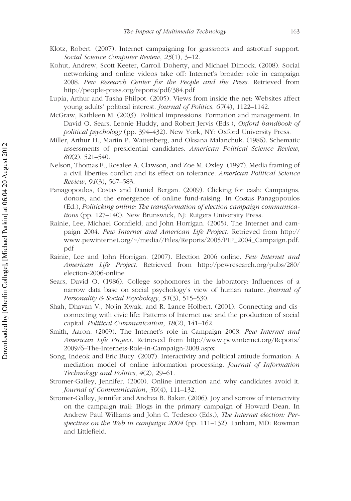- Klotz, Robert. (2007). Internet campaigning for grassroots and astroturf support. Social Science Computer Review, 25(1), 3–12.
- Kohut, Andrew, Scott Keeter, Carroll Doherty, and Michael Dimock. (2008). Social networking and online videos take off: Internet's broader role in campaign 2008. Pew Research Center for the People and the Press. Retrieved from http://people-press.org/reports/pdf/384.pdf
- Lupia, Arthur and Tasha Philpot. (2005). Views from inside the net: Websites affect young adults' political interest. Journal of Politics, 67(4), 1122–1142.
- McGraw, Kathleen M. (2003). Political impressions: Formation and management. In David O. Sears, Leonie Huddy, and Robert Jervis (Eds.), Oxford handbook of political psychology (pp. 394–432). New York, NY: Oxford University Press.
- Miller, Arthur H., Martin P. Wattenberg, and Oksana Malanchuk. (1986). Schematic assessments of presidential candidates. American Political Science Review, 80(2), 521–540.
- Nelson, Thomas E., Rosalee A. Clawson, and Zoe M. Oxley. (1997). Media framing of a civil liberties conflict and its effect on tolerance. American Political Science Review, 91(3), 567–583.
- Panagopoulos, Costas and Daniel Bergan. (2009). Clicking for cash: Campaigns, donors, and the emergence of online fund-raising. In Costas Panagopoulos (Ed.), Politicking online: The transformation of election campaign communications (pp. 127–140). New Brunswick, NJ: Rutgers University Press.
- Rainie, Lee, Michael Cornfield, and John Horrigan. (2005). The Internet and campaign 2004. Pew Internet and American Life Project. Retrieved from http:// www.pewinternet.org/~/media//Files/Reports/2005/PIP\_2004\_Campaign.pdf. pdf
- Rainie, Lee and John Horrigan. (2007). Election 2006 online. Pew Internet and American Life Project. Retrieved from http://pewresearch.org/pubs/280/ election-2006-online
- Sears, David O. (1986). College sophomores in the laboratory: Influences of a narrow data base on social psychology's view of human nature. Journal of Personality & Social Psychology, 51(3), 515-530.
- Shah, Dhavan V., Nojin Kwak, and R. Lance Holbert. (2001). Connecting and disconnecting with civic life: Patterns of Internet use and the production of social capital. Political Communication, 18(2), 141–162.
- Smith, Aaron. (2009). The Internet's role in Campaign 2008. Pew Internet and American Life Project. Retrieved from http://www.pewinternet.org/Reports/ 2009/6–The-Internets-Role-in-Campaign-2008.aspx
- Song, Indeok and Eric Bucy. (2007). Interactivity and political attitude formation: A mediation model of online information processing. Journal of Information Technology and Politics, 4(2), 29–61.
- Stromer-Galley, Jennifer. (2000). Online interaction and why candidates avoid it. Journal of Communication, 50(4), 111–132.
- Stromer-Galley, Jennifer and Andrea B. Baker. (2006). Joy and sorrow of interactivity on the campaign trail: Blogs in the primary campaign of Howard Dean. In Andrew Paul Williams and John C. Tedesco (Eds.), The Internet election: Perspectives on the Web in campaign 2004 (pp. 111-132). Lanham, MD: Rowman and Littlefield.